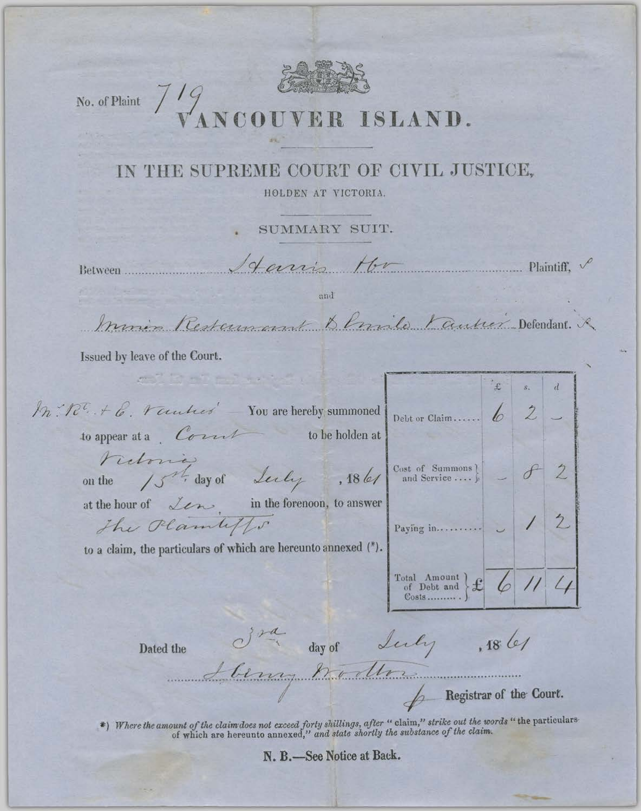

No. of Plaint  $7/9$ 

## NCOUVER ISLAND.

## IN THE SUPREME COURT OF CIVIL JUSTICE,

HOLDEN AT VICTORIA.

SUMMARY SUIT.

Larris Hr

Between .............

and

Inmes Restauxant Demile Fautrez Defendant. R

 $\overline{\phantom{a}}$  Plaintiff,  $\overline{\phantom{a}}$ 

Registrar of the Court.

Issued by leave of the Court.

| M. R. + 6. Vantres You are hereby summoned<br>to appear at a Court<br>to be holden at                                        | Debt or Claim,  6                                   |       |  |   |
|------------------------------------------------------------------------------------------------------------------------------|-----------------------------------------------------|-------|--|---|
| retoria                                                                                                                      |                                                     |       |  |   |
| on the 15 <sup>th</sup> day of Lecty, 18 let $\begin{bmatrix} \text{Cost of Summons} \\ \text{and Service} \end{bmatrix}$ of |                                                     |       |  |   |
| at the hour of $\angle$ cm in the forenoon, to answer                                                                        |                                                     |       |  |   |
| The Plantiffs                                                                                                                |                                                     |       |  | 2 |
| to a claim, the particulars of which are hereunto annexed (*).                                                               |                                                     |       |  |   |
|                                                                                                                              | Total Amount $\left\{\mathbf{f}\right\}$<br>$Costs$ |       |  |   |
|                                                                                                                              |                                                     |       |  |   |
| day of<br>Dated the                                                                                                          | Luchy                                               | , 186 |  |   |
| benny hollow                                                                                                                 |                                                     |       |  |   |
| <b>Exercistrian of the Court.</b>                                                                                            |                                                     |       |  |   |

\*) Where the amount of the claim does not exceed forty shillings, after "claim," strike out the words "the particulars-<br>of which are hereunto annexed," and state shortly the substance of the claim.

N. B.-See Notice at Back.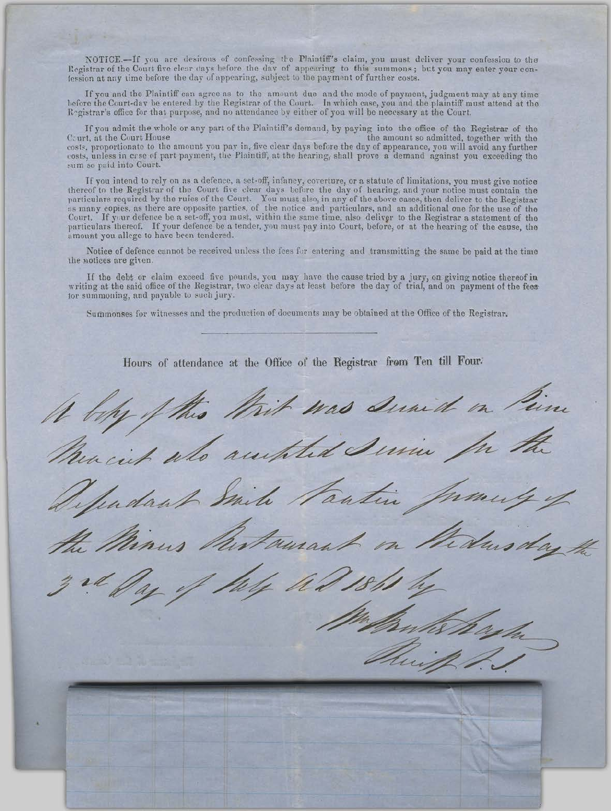NOTICE.-If you are desirous of confessing the Plaintiff's claim, you must deliver your confession to the Registrar of the Court five clear days before the day of appearing to this summons; but you may enter your conlession at any time before the day of appearing, subject to the payment of further costs.

If you and the Plaintiff can agree as to the amount due and the mode of payment, judgment may at any time<br>before the Court-day be entered by the Registrar of the Court. In which case, you and the plaintiff must attend at t

If you admit the whole or any part of the Plaintiff's demand, by paying into the office of the Registrar of the Court, at the Court House the amount so admitted, together with the costs, proportionate to the amount you pay in, five clear days before the day of appearance, you will avoid any further costs, unless in crse of part payment, the Plaintiff, at the hearing, shall prove a demand against you sum so puid into Court.

If you intend to rely on as a defence, a set-off, infancy, coverture, or a statute of limitations, you must give notice record to the Registrar of the Court five clear days before the day of hearing, and your notice must contain the<br>particulars required by the rules of the Court. You must also, in any of the above cases, then deliver to the Court. If your defence be a set-off, you must, within the same time, also deliver to the Registrar a statement of the particulars thereof. If your defence be a tender, you must pay into Court, before, or at the hearing of amount you allege to have been tendered.

Notice of defence cannot be received unless the fees for entering and transmitting the same be paid at the time the notices are given.

If the debt or claim exceed five pounds, you may have the cause tried by a jury, on giving notice thereof in<br>writing at the said office of the Registrar, two clear days at least before the day of trial, and on payment of t for summoning, and payable to such jury.

Summonses for witnesses and the production of documents may be obtained at the Office of the Registrar.

Hours of attendance at the Office of the Registrar from Ten till Four-

Whit was Sunid on Pin it als authent Jurie le Pautin Amurant y re day 16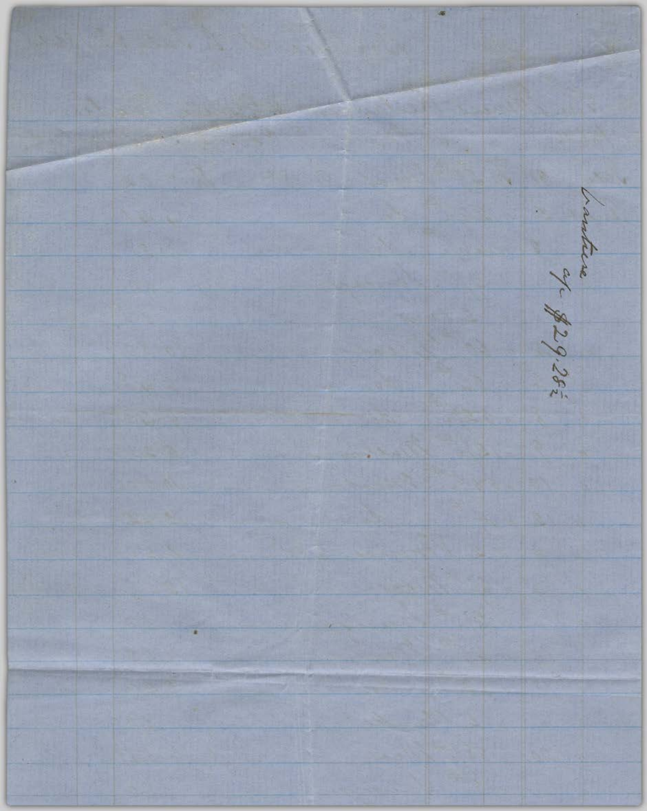